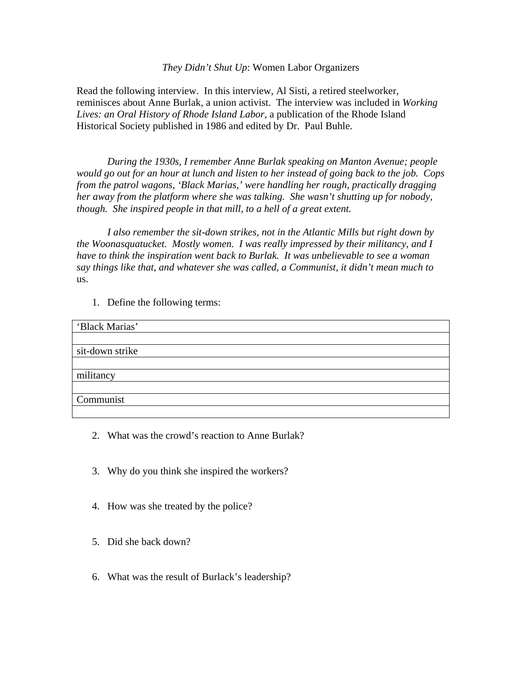# *They Didn't Shut Up*: Women Labor Organizers

Read the following interview. In this interview, Al Sisti, a retired steelworker, reminisces about Anne Burlak, a union activist. The interview was included in *Working Lives: an Oral History of Rhode Island Labor,* a publication of the Rhode Island Historical Society published in 1986 and edited by Dr. Paul Buhle.

*During the 1930s, I remember Anne Burlak speaking on Manton Avenue; people would go out for an hour at lunch and listen to her instead of going back to the job. Cops from the patrol wagons, 'Black Marias,' were handling her rough, practically dragging her away from the platform where she was talking. She wasn't shutting up for nobody, though. She inspired people in that mill, to a hell of a great extent.* 

 *I also remember the sit-down strikes, not in the Atlantic Mills but right down by the Woonasquatucket. Mostly women. I was really impressed by their militancy, and I have to think the inspiration went back to Burlak. It was unbelievable to see a woman say things like that, and whatever she was called, a Communist, it didn't mean much to*  us.

1. Define the following terms:

| 'Black Marias'  |  |
|-----------------|--|
|                 |  |
| sit-down strike |  |
|                 |  |
| militancy       |  |
|                 |  |
| Communist       |  |
|                 |  |

- 2. What was the crowd's reaction to Anne Burlak?
- 3. Why do you think she inspired the workers?
- 4. How was she treated by the police?
- 5. Did she back down?
- 6. What was the result of Burlack's leadership?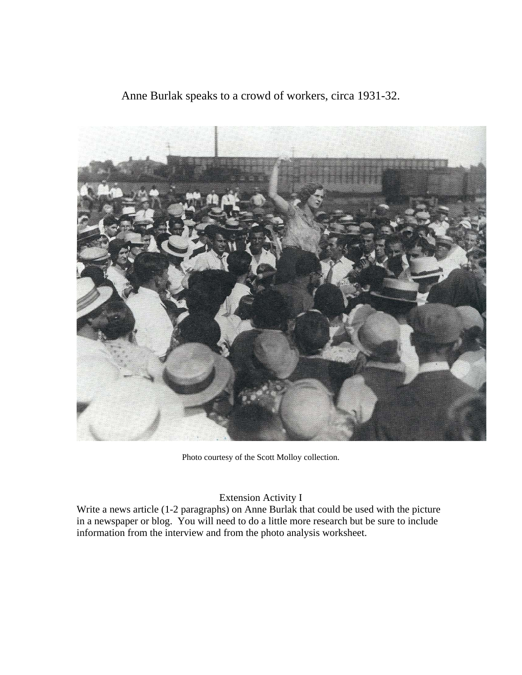Anne Burlak speaks to a crowd of workers, circa 1931-32.



Photo courtesy of the Scott Molloy collection.

# Extension Activity I

Write a news article (1-2 paragraphs) on Anne Burlak that could be used with the picture in a newspaper or blog. You will need to do a little more research but be sure to include information from the interview and from the photo analysis worksheet.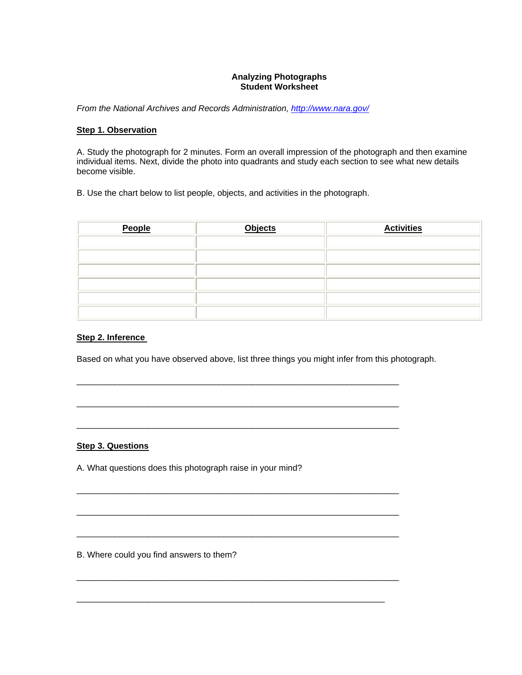#### **Analyzing Photographs Student Worksheet**

*From the National Archives and Records Administration, http://www.nara.gov/*

#### **Step 1. Observation**

A. Study the photograph for 2 minutes. Form an overall impression of the photograph and then examine individual items. Next, divide the photo into quadrants and study each section to see what new details become visible.

B. Use the chart below to list people, objects, and activities in the photograph.

| People | <b>Objects</b> | <b>Activities</b> |
|--------|----------------|-------------------|
|        |                |                   |
|        |                |                   |
|        |                |                   |
|        |                |                   |
|        |                |                   |
|        |                |                   |

#### **Step 2. Inference**

Based on what you have observed above, list three things you might infer from this photograph.

 $\_$  ,  $\_$  ,  $\_$  ,  $\_$  ,  $\_$  ,  $\_$  ,  $\_$  ,  $\_$  ,  $\_$  ,  $\_$  ,  $\_$  ,  $\_$  ,  $\_$  ,  $\_$  ,  $\_$  ,  $\_$  ,  $\_$  ,  $\_$  ,  $\_$  ,  $\_$ 

 $\_$  ,  $\_$  ,  $\_$  ,  $\_$  ,  $\_$  ,  $\_$  ,  $\_$  ,  $\_$  ,  $\_$  ,  $\_$  ,  $\_$  ,  $\_$  ,  $\_$  ,  $\_$  ,  $\_$  ,  $\_$  ,  $\_$  ,  $\_$  ,  $\_$  ,  $\_$ 

 $\_$  ,  $\_$  ,  $\_$  ,  $\_$  ,  $\_$  ,  $\_$  ,  $\_$  ,  $\_$  ,  $\_$  ,  $\_$  ,  $\_$  ,  $\_$  ,  $\_$  ,  $\_$  ,  $\_$  ,  $\_$  ,  $\_$  ,  $\_$  ,  $\_$  ,  $\_$ 

 $\overline{\phantom{a}}$  , and the contribution of the contribution of the contribution of the contribution of the contribution of the contribution of the contribution of the contribution of the contribution of the contribution of the

 $\overline{\phantom{a}}$  , and the contribution of the contribution of the contribution of the contribution of the contribution of the contribution of the contribution of the contribution of the contribution of the contribution of the

 $\overline{\phantom{a}}$  , and the contribution of the contribution of the contribution of the contribution of the contribution of the contribution of the contribution of the contribution of the contribution of the contribution of the

 $\overline{\phantom{a}}$  , and the contribution of the contribution of the contribution of the contribution of the contribution of the contribution of the contribution of the contribution of the contribution of the contribution of the

\_\_\_\_\_\_\_\_\_\_\_\_\_\_\_\_\_\_\_\_\_\_\_\_\_\_\_\_\_\_\_\_\_\_\_\_\_\_\_\_\_\_\_\_\_\_\_\_\_\_\_\_\_\_\_\_\_\_\_\_\_\_\_\_\_

## **Step 3. Questions**

A. What questions does this photograph raise in your mind?

B. Where could you find answers to them?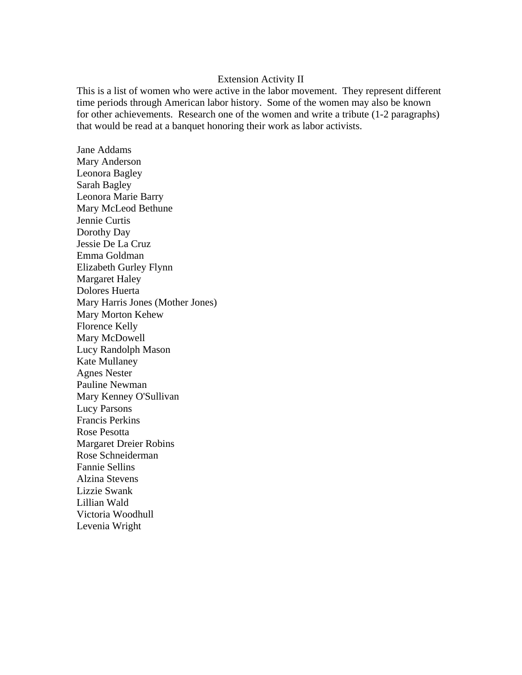### Extension Activity II

This is a list of women who were active in the labor movement. They represent different time periods through American labor history. Some of the women may also be known for other achievements. Research one of the women and write a tribute (1-2 paragraphs) that would be read at a banquet honoring their work as labor activists.

Jane Addams Mary Anderson Leonora Bagley Sarah Bagley Leonora Marie Barry Mary McLeod Bethune Jennie Curtis Dorothy Day Jessie De La Cruz Emma Goldman Elizabeth Gurley Flynn Margaret Haley Dolores Huerta Mary Harris Jones (Mother Jones) Mary Morton Kehew Florence Kelly Mary McDowell Lucy Randolph Mason Kate Mullaney Agnes Nester Pauline Newman Mary Kenney O'Sullivan Lucy Parsons Francis Perkins Rose Pesotta Margaret Dreier Robins Rose Schneiderman Fannie Sellins Alzina Stevens Lizzie Swank Lillian Wald Victoria Woodhull Levenia Wright